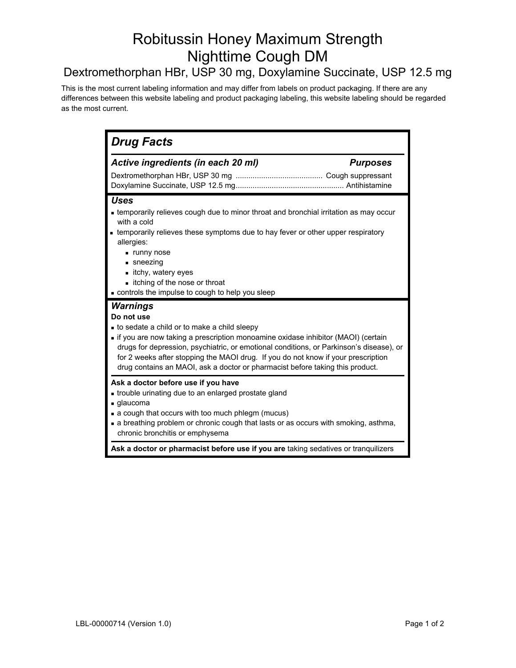# Robitussin Honey Maximum Strength Nighttime Cough DM

## Dextromethorphan HBr, USP 30 mg, Doxylamine Succinate, USP 12.5 mg

This is the most current labeling information and may differ from labels on product packaging. If there are any differences between this website labeling and product packaging labeling, this website labeling should be regarded as the most current.

| <b>Drug Facts</b>                                                                                                                                                                                                                                                                                                                                                                                                            |  |  |
|------------------------------------------------------------------------------------------------------------------------------------------------------------------------------------------------------------------------------------------------------------------------------------------------------------------------------------------------------------------------------------------------------------------------------|--|--|
| Active ingredients (in each 20 ml)<br><b>Purposes</b>                                                                                                                                                                                                                                                                                                                                                                        |  |  |
| <b>Uses</b><br>• temporarily relieves cough due to minor throat and bronchial irritation as may occur<br>with a cold<br>• temporarily relieves these symptoms due to hay fever or other upper respiratory<br>allergies:<br>unny nose<br>$\blacksquare$ sneezing<br>■ itchy, watery eyes<br>itching of the nose or throat<br>controls the impulse to cough to help you sleep                                                  |  |  |
| Warnings<br>Do not use<br>to sedate a child or to make a child sleepy<br>• if you are now taking a prescription monoamine oxidase inhibitor (MAOI) (certain<br>drugs for depression, psychiatric, or emotional conditions, or Parkinson's disease), or<br>for 2 weeks after stopping the MAOI drug. If you do not know if your prescription<br>drug contains an MAOI, ask a doctor or pharmacist before taking this product. |  |  |
| Ask a doctor before use if you have<br>• trouble urinating due to an enlarged prostate gland<br>glaucoma<br>• a cough that occurs with too much phlegm (mucus)<br>a breathing problem or chronic cough that lasts or as occurs with smoking, asthma,<br>chronic bronchitis or emphysema                                                                                                                                      |  |  |
| Ask a doctor or pharmacist before use if you are taking sedatives or tranquilizers                                                                                                                                                                                                                                                                                                                                           |  |  |